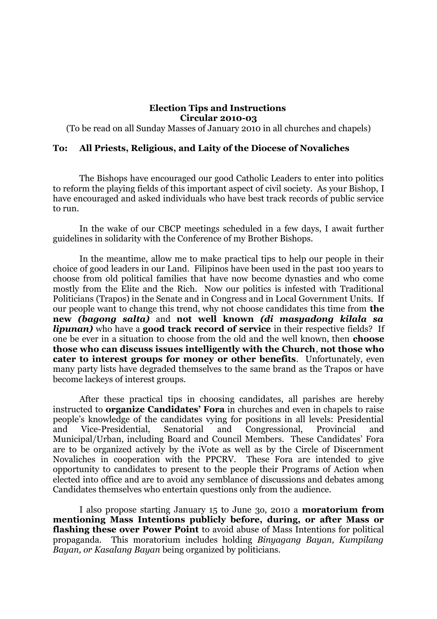## **Election Tips and Instructions Circular 2010-03**

(To be read on all Sunday Masses of January 2010 in all churches and chapels)

## **To: All Priests, Religious, and Laity of the Diocese of Novaliches**

The Bishops have encouraged our good Catholic Leaders to enter into politics to reform the playing fields of this important aspect of civil society. As your Bishop, I have encouraged and asked individuals who have best track records of public service to run.

In the wake of our CBCP meetings scheduled in a few days, I await further guidelines in solidarity with the Conference of my Brother Bishops.

In the meantime, allow me to make practical tips to help our people in their choice of good leaders in our Land. Filipinos have been used in the past 100 years to choose from old political families that have now become dynasties and who come mostly from the Elite and the Rich. Now our politics is infested with Traditional Politicians (Trapos) in the Senate and in Congress and in Local Government Units. If our people want to change this trend, why not choose candidates this time from **the new** *(bagong salta)* and **not well known** *(di masyadong kilala sa lipunan)* who have a **good track record of service** in their respective fields? If one be ever in a situation to choose from the old and the well known, then **choose those who can discuss issues intelligently with the Church**, **not those who cater to interest groups for money or other benefits**. Unfortunately, even many party lists have degraded themselves to the same brand as the Trapos or have become lackeys of interest groups.

After these practical tips in choosing candidates, all parishes are hereby instructed to **organize Candidates' Fora** in churches and even in chapels to raise people's knowledge of the candidates vying for positions in all levels: Presidential and Vice-Presidential, Senatorial and Congressional, Provincial and Municipal/Urban, including Board and Council Members. These Candidates' Fora are to be organized actively by the iVote as well as by the Circle of Discernment Novaliches in cooperation with the PPCRV. These Fora are intended to give opportunity to candidates to present to the people their Programs of Action when elected into office and are to avoid any semblance of discussions and debates among Candidates themselves who entertain questions only from the audience.

I also propose starting January 15 to June 3o, 2010 a **moratorium from mentioning Mass Intentions publicly before, during, or after Mass or flashing these over Power Point** to avoid abuse of Mass Intentions for political propaganda. This moratorium includes holding *Binyagang Bayan, Kumpilang Bayan, or Kasalang Bayan* being organized by politicians.